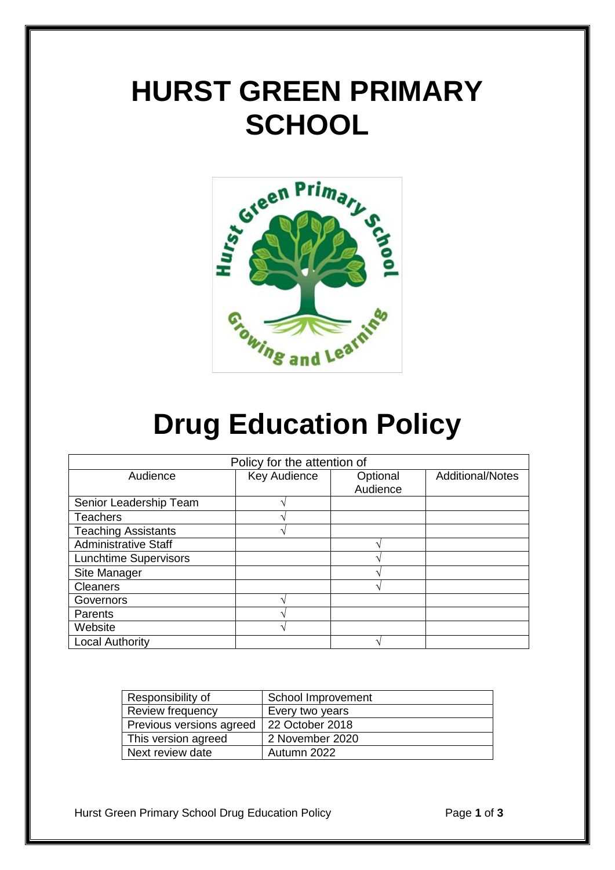# **HURST GREEN PRIMARY SCHOOL**



# **Drug Education Policy**

| Policy for the attention of  |              |          |                         |
|------------------------------|--------------|----------|-------------------------|
| Audience                     | Key Audience | Optional | <b>Additional/Notes</b> |
|                              |              | Audience |                         |
| Senior Leadership Team       |              |          |                         |
| <b>Teachers</b>              |              |          |                         |
| <b>Teaching Assistants</b>   |              |          |                         |
| <b>Administrative Staff</b>  |              |          |                         |
| <b>Lunchtime Supervisors</b> |              |          |                         |
| Site Manager                 |              |          |                         |
| <b>Cleaners</b>              |              |          |                         |
| Governors                    |              |          |                         |
| Parents                      |              |          |                         |
| Website                      |              |          |                         |
| <b>Local Authority</b>       |              |          |                         |

| Responsibility of        | School Improvement |
|--------------------------|--------------------|
| Review frequency         | Every two years    |
| Previous versions agreed | 22 October 2018    |
| This version agreed      | 2 November 2020    |
| Next review date         | Autumn 2022        |

Hurst Green Primary School Drug Education Policy Page **1** of **3**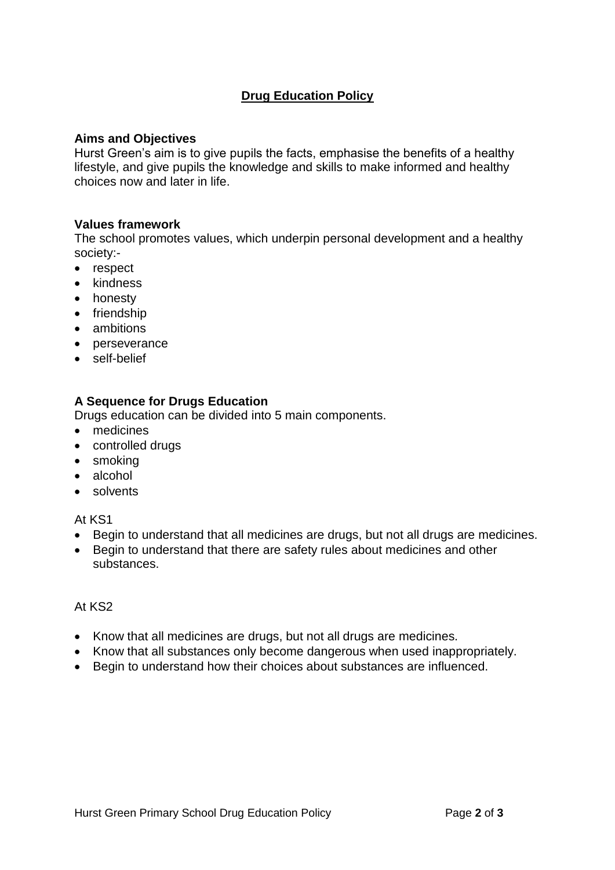# **Drug Education Policy**

# **Aims and Objectives**

Hurst Green's aim is to give pupils the facts, emphasise the benefits of a healthy lifestyle, and give pupils the knowledge and skills to make informed and healthy choices now and later in life.

#### **Values framework**

The school promotes values, which underpin personal development and a healthy society:-

- respect
- kindness
- honesty
- friendship
- ambitions
- perseverance
- self-belief

# **A Sequence for Drugs Education**

Drugs education can be divided into 5 main components.

- medicines
- controlled drugs
- smoking
- alcohol
- **•** solvents

#### At KS1

- Begin to understand that all medicines are drugs, but not all drugs are medicines.
- Begin to understand that there are safety rules about medicines and other substances.

#### At KS2

- Know that all medicines are drugs, but not all drugs are medicines.
- Know that all substances only become dangerous when used inappropriately.
- Begin to understand how their choices about substances are influenced.